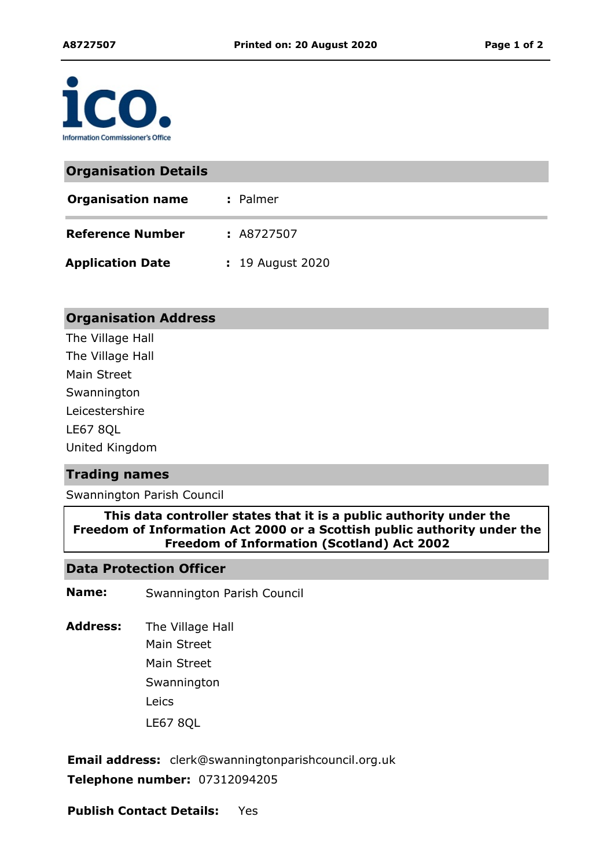

| <b>Organisation Details</b> |                  |
|-----------------------------|------------------|
| <b>Organisation name</b>    | : Palmer         |
| <b>Reference Number</b>     | : A8727507       |
| <b>Application Date</b>     | : 19 August 2020 |

### **Organisation Address**

The Village Hall The Village Hall Main Street LE67 8QL Swannington Leicestershire United Kingdom

#### **Trading names**

Swannington Parish Council

**This data controller states that it is a public authority under the Freedom of Information Act 2000 or a Scottish public authority under the Freedom of Information (Scotland) Act 2002**

### **Data Protection Officer**

**Name:** Swannington Parish Council

The Village Hall Main Street Leics LE67 8QL **Address:** Main Street **Swannington** 

**Email address:** clerk@swanningtonparishcouncil.org.uk **Telephone number:** 07312094205

**Publish Contact Details:** Yes